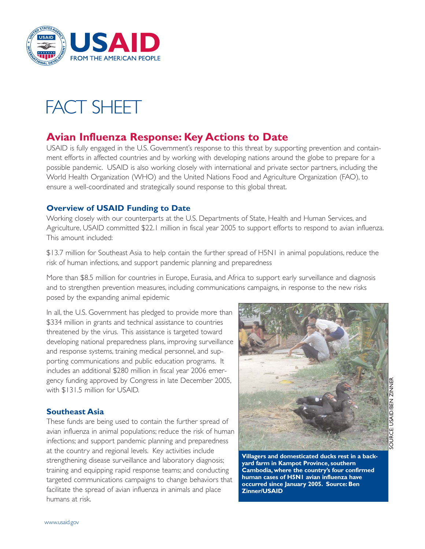

# FACT SHEET

# **Avian Influenza Response: Key Actions to Date**

USAID is fully engaged in the U.S. Government's response to this threat by supporting prevention and containment efforts in affected countries and by working with developing nations around the globe to prepare for a possible pandemic. USAID is also working closely with international and private sector partners, including the World Health Organization (WHO) and the United Nations Food and Agriculture Organization (FAO), to ensure a well-coordinated and strategically sound response to this global threat.

# **Overview of USAID Funding to Date**

Working closely with our counterparts at the U.S. Departments of State, Health and Human Services, and Agriculture, USAID committed \$22.1 million in fiscal year 2005 to support efforts to respond to avian influenza. This amount included:

\$13.7 million for Southeast Asia to help contain the further spread of H5N1 in animal populations, reduce the risk of human infections, and support pandemic planning and preparedness

More than \$8.5 million for countries in Europe, Eurasia, and Africa to support early surveillance and diagnosis and to strengthen prevention measures, including communications campaigns, in response to the new risks posed by the expanding animal epidemic

In all, the U.S. Government has pledged to provide more than \$334 million in grants and technical assistance to countries threatened by the virus. This assistance is targeted toward developing national preparedness plans, improving surveillance and response systems, training medical personnel, and supporting communications and public education programs. It includes an additional \$280 million in fiscal year 2006 emergency funding approved by Congress in late December 2005, with \$131.5 million for USAID.

# **Southeast Asia**

These funds are being used to contain the further spread of avian influenza in animal populations; reduce the risk of human infections; and support pandemic planning and preparedness at the country and regional levels. Key activities include strengthening disease surveillance and laboratory diagnosis; training and equipping rapid response teams; and conducting targeted communications campaigns to change behaviors that facilitate the spread of avian influenza in animals and place humans at risk.



**Villagers and domesticated ducks rest in a backyard farm in Kampot Province, southern Cambodia, where the country's four confirmed human cases of H5N1 avian influenza have occurred since January 2005. Source: Ben Zinner/USAID**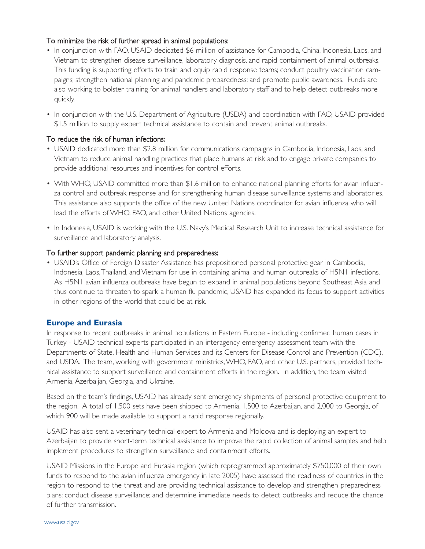# To minimize the risk of further spread in animal populations:

- In conjunction with FAO, USAID dedicated \$6 million of assistance for Cambodia, China, Indonesia, Laos, and Vietnam to strengthen disease surveillance, laboratory diagnosis, and rapid containment of animal outbreaks. This funding is supporting efforts to train and equip rapid response teams; conduct poultry vaccination campaigns; strengthen national planning and pandemic preparedness; and promote public awareness. Funds are also working to bolster training for animal handlers and laboratory staff and to help detect outbreaks more quickly.
- In conjunction with the U.S. Department of Agriculture (USDA) and coordination with FAO, USAID provided \$1.5 million to supply expert technical assistance to contain and prevent animal outbreaks.

#### To reduce the risk of human infections:

- USAID dedicated more than \$2.8 million for communications campaigns in Cambodia, Indonesia, Laos, and Vietnam to reduce animal handling practices that place humans at risk and to engage private companies to provide additional resources and incentives for control efforts.
- With WHO, USAID committed more than \$1.6 million to enhance national planning efforts for avian influenza control and outbreak response and for strengthening human disease surveillance systems and laboratories. This assistance also supports the office of the new United Nations coordinator for avian influenza who will lead the efforts of WHO, FAO, and other United Nations agencies.
- In Indonesia, USAID is working with the U.S. Navy's Medical Research Unit to increase technical assistance for surveillance and laboratory analysis.

#### To further support pandemic planning and preparedness:

• USAID's Office of Foreign Disaster Assistance has prepositioned personal protective gear in Cambodia, Indonesia, Laos,Thailand, and Vietnam for use in containing animal and human outbreaks of H5N1 infections. As H5N1 avian influenza outbreaks have begun to expand in animal populations beyond Southeast Asia and thus continue to threaten to spark a human flu pandemic, USAID has expanded its focus to support activities in other regions of the world that could be at risk.

# **Europe and Eurasia**

In response to recent outbreaks in animal populations in Eastern Europe - including confirmed human cases in Turkey - USAID technical experts participated in an interagency emergency assessment team with the Departments of State, Health and Human Services and its Centers for Disease Control and Prevention (CDC), and USDA. The team, working with government ministries,WHO, FAO, and other U.S. partners, provided technical assistance to support surveillance and containment efforts in the region. In addition, the team visited Armenia, Azerbaijan, Georgia, and Ukraine.

Based on the team's findings, USAID has already sent emergency shipments of personal protective equipment to the region. A total of 1,500 sets have been shipped to Armenia, 1,500 to Azerbaijan, and 2,000 to Georgia, of which 900 will be made available to support a rapid response regionally.

USAID has also sent a veterinary technical expert to Armenia and Moldova and is deploying an expert to Azerbaijan to provide short-term technical assistance to improve the rapid collection of animal samples and help implement procedures to strengthen surveillance and containment efforts.

USAID Missions in the Europe and Eurasia region (which reprogrammed approximately \$750,000 of their own funds to respond to the avian influenza emergency in late 2005) have assessed the readiness of countries in the region to respond to the threat and are providing technical assistance to develop and strengthen preparedness plans; conduct disease surveillance; and determine immediate needs to detect outbreaks and reduce the chance of further transmission.